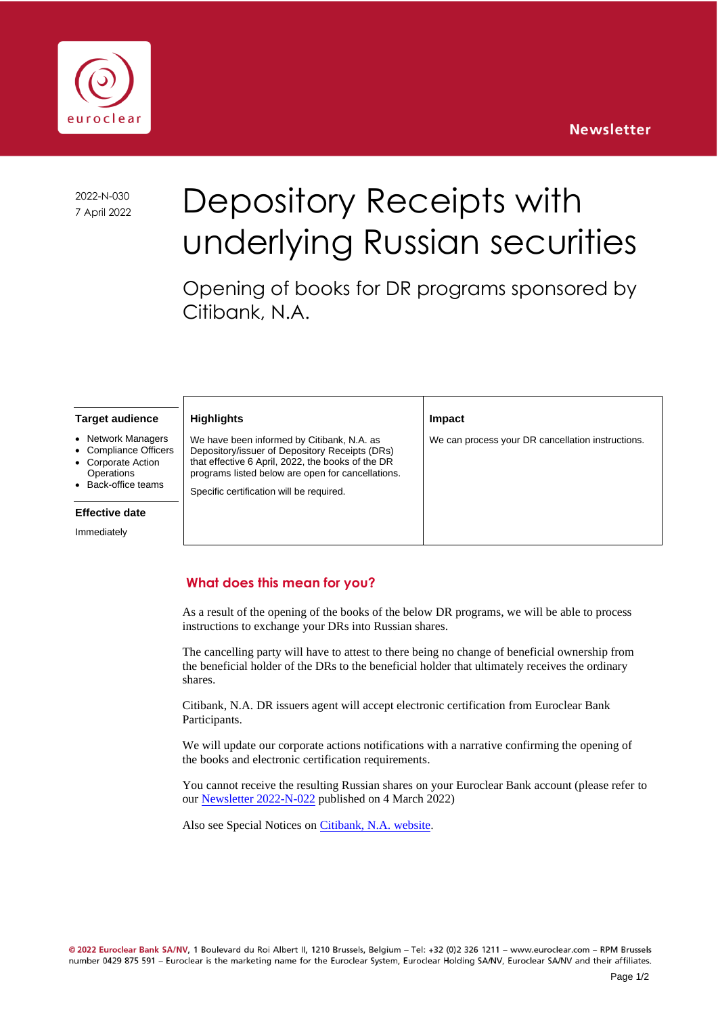#### **Newsletter**



2022-N-030

# 2022-N-030 Depository Receipts with underlying Russian securities

Opening of books for DR programs sponsored by Citibank, N.A.

**Impact**

We can process your DR cancellation instructions.

#### **Target audience**

- **Network Managers**
- Compliance Officers
- Corporate Action
- **Operations** • Back-office teams

## **Effective date**

Immediately

#### **Highlights**

We have been informed by Citibank, N.A. as Depository/issuer of Depository Receipts (DRs) that effective 6 April, 2022, the books of the DR programs listed below are open for cancellations.

Specific certification will be required.

#### **What does this mean for you?**

As a result of the opening of the books of the below DR programs, we will be able to process instructions to exchange your DRs into Russian shares.

The cancelling party will have to attest to there being no change of beneficial ownership from the beneficial holder of the DRs to the beneficial holder that ultimately receives the ordinary shares.

Citibank, N.A. DR issuers agent will accept electronic certification from Euroclear Bank Participants.

We will update our corporate actions notifications with a narrative confirming the opening of the books and electronic certification requirements.

You cannot receive the resulting Russian shares on your Euroclear Bank account (please refer to our [Newsletter 2022-N-022](https://my.euroclear.com/eb/en/news/newsletters/other/2022/2022-N-022.html) published on 4 March 2022)

Also see Special Notices on [Citibank, N.A. website](https://citiadr.factsetdigitalsolutions.com/www/drfront_page.idms).